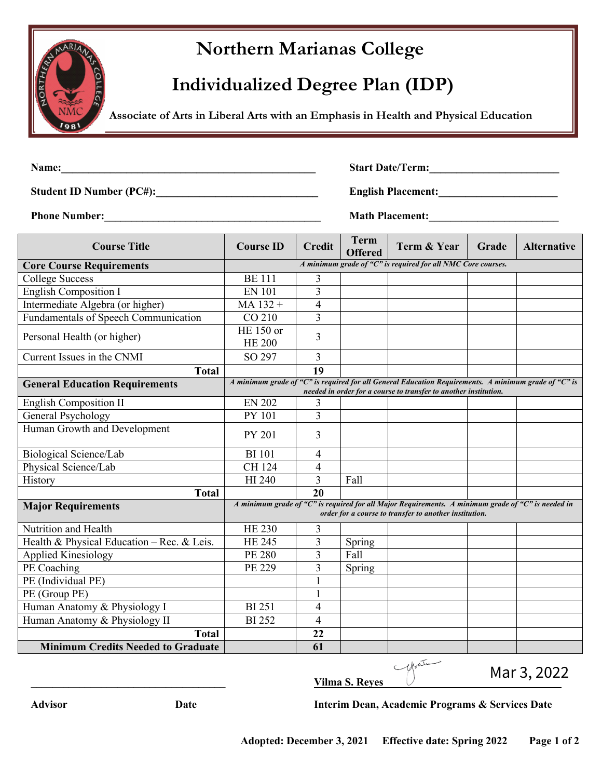## **Northern Marianas College**

## **Individualized Degree Plan (IDP)**

 **Associate of Arts in Liberal Arts with an Emphasis in Health and Physical Education**

**Name:\_\_\_\_\_\_\_\_\_\_\_\_\_\_\_\_\_\_\_\_\_\_\_\_\_\_\_\_\_\_\_\_\_\_\_\_\_\_\_\_\_\_\_\_\_\_\_ Start Date/Term:\_\_\_\_\_\_\_\_\_\_\_\_\_\_\_\_\_\_\_\_\_\_\_\_**

**Student ID Number (PC#):\_\_\_\_\_\_\_\_\_\_\_\_\_\_\_\_\_\_\_\_\_\_\_\_\_\_\_\_\_\_ English Placement:\_\_\_\_\_\_\_\_\_\_\_\_\_\_\_\_\_\_\_\_\_\_**

**Phone Number: Math Placement: Math Placement:** 

| <b>Course Title</b>                        | <b>Course ID</b>                                                                                                                                             | <b>Credit</b>  | <b>Term</b><br><b>Offered</b> | <b>Term &amp; Year</b>                                                                                                                                                   | Grade | <b>Alternative</b> |
|--------------------------------------------|--------------------------------------------------------------------------------------------------------------------------------------------------------------|----------------|-------------------------------|--------------------------------------------------------------------------------------------------------------------------------------------------------------------------|-------|--------------------|
| <b>Core Course Requirements</b>            |                                                                                                                                                              |                |                               | A minimum grade of "C" is required for all NMC Core courses.                                                                                                             |       |                    |
| <b>College Success</b>                     | <b>BE</b> 111                                                                                                                                                | 3              |                               |                                                                                                                                                                          |       |                    |
| <b>English Composition I</b>               | <b>EN 101</b>                                                                                                                                                | 3              |                               |                                                                                                                                                                          |       |                    |
| Intermediate Algebra (or higher)           | MA 132 +                                                                                                                                                     | 4              |                               |                                                                                                                                                                          |       |                    |
| Fundamentals of Speech Communication       | CO 210                                                                                                                                                       | 3              |                               |                                                                                                                                                                          |       |                    |
| Personal Health (or higher)                | HE 150 or<br><b>HE 200</b>                                                                                                                                   | 3              |                               |                                                                                                                                                                          |       |                    |
| Current Issues in the CNMI                 | SO 297                                                                                                                                                       | 3              |                               |                                                                                                                                                                          |       |                    |
| <b>Total</b>                               |                                                                                                                                                              | 19             |                               |                                                                                                                                                                          |       |                    |
| <b>General Education Requirements</b>      |                                                                                                                                                              |                |                               | A minimum grade of "C" is required for all General Education Requirements. A minimum grade of "C" is<br>needed in order for a course to transfer to another institution. |       |                    |
| <b>English Composition II</b>              | <b>EN 202</b>                                                                                                                                                | 3              |                               |                                                                                                                                                                          |       |                    |
| General Psychology                         | <b>PY 101</b>                                                                                                                                                | $\overline{3}$ |                               |                                                                                                                                                                          |       |                    |
| Human Growth and Development               | PY 201                                                                                                                                                       | 3              |                               |                                                                                                                                                                          |       |                    |
| Biological Science/Lab                     | <b>BI</b> 101                                                                                                                                                | 4              |                               |                                                                                                                                                                          |       |                    |
| Physical Science/Lab                       | CH 124                                                                                                                                                       | 4              |                               |                                                                                                                                                                          |       |                    |
| History                                    | HI 240                                                                                                                                                       | $\overline{3}$ | Fall                          |                                                                                                                                                                          |       |                    |
| <b>Total</b>                               |                                                                                                                                                              | 20             |                               |                                                                                                                                                                          |       |                    |
| <b>Major Requirements</b>                  | A minimum grade of "C" is required for all Major Requirements. A minimum grade of "C" is needed in<br>order for a course to transfer to another institution. |                |                               |                                                                                                                                                                          |       |                    |
| Nutrition and Health                       | <b>HE 230</b>                                                                                                                                                | 3              |                               |                                                                                                                                                                          |       |                    |
| Health & Physical Education - Rec. & Leis. | <b>HE 245</b>                                                                                                                                                | 3              | Spring                        |                                                                                                                                                                          |       |                    |
| <b>Applied Kinesiology</b>                 | <b>PE 280</b>                                                                                                                                                | 3              | Fall                          |                                                                                                                                                                          |       |                    |
| PE Coaching                                | PE 229                                                                                                                                                       | $\overline{3}$ | Spring                        |                                                                                                                                                                          |       |                    |
| PE (Individual PE)                         |                                                                                                                                                              | 1              |                               |                                                                                                                                                                          |       |                    |
| PE (Group PE)                              |                                                                                                                                                              | 1              |                               |                                                                                                                                                                          |       |                    |
| Human Anatomy & Physiology I               | <b>BI251</b>                                                                                                                                                 | 4              |                               |                                                                                                                                                                          |       |                    |
| Human Anatomy & Physiology II              | <b>BI</b> 252                                                                                                                                                | 4              |                               |                                                                                                                                                                          |       |                    |
| <b>Total</b>                               |                                                                                                                                                              | 22             |                               |                                                                                                                                                                          |       |                    |
| <b>Minimum Credits Needed to Graduate</b>  |                                                                                                                                                              | 61             |                               |                                                                                                                                                                          |       |                    |



Mar 3, 2022

**Advisor Date Interim Dean, Academic Programs & Services Date**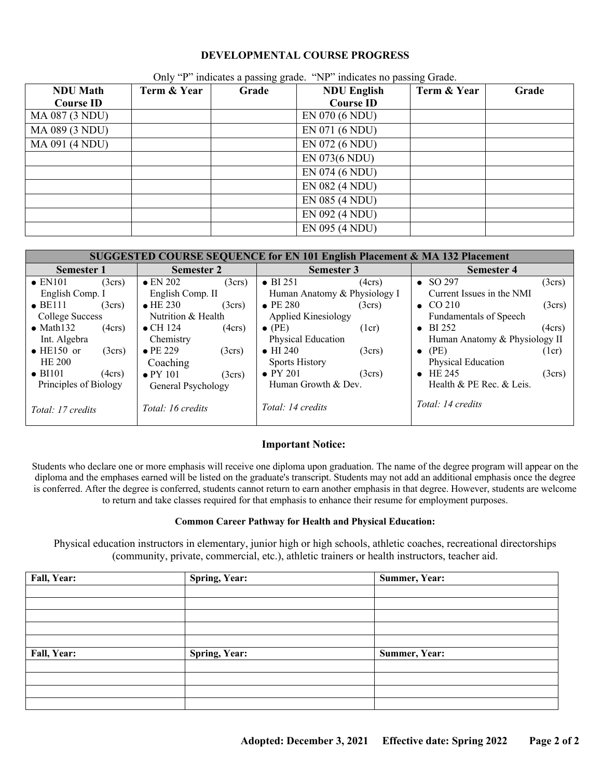#### **DEVELOPMENTAL COURSE PROGRESS**

| <b>NDU</b> Math  | Term & Year | $\sum_{i=1}^{n}$ and $\sum_{i=1}^{n}$ and $\sum_{i=1}^{n}$ and $\sum_{i=1}^{n}$ and $\sum_{i=1}^{n}$<br>Grade | $m$ and $m$ and $m$ and $m$ and $m$<br><b>NDU English</b> | Term & Year | Grade |
|------------------|-------------|---------------------------------------------------------------------------------------------------------------|-----------------------------------------------------------|-------------|-------|
| <b>Course ID</b> |             |                                                                                                               | <b>Course ID</b>                                          |             |       |
| MA 087 (3 NDU)   |             |                                                                                                               | EN 070 (6 NDU)                                            |             |       |
| MA 089 (3 NDU)   |             |                                                                                                               | EN 071 (6 NDU)                                            |             |       |
| MA 091 (4 NDU)   |             |                                                                                                               | EN 072 (6 NDU)                                            |             |       |
|                  |             |                                                                                                               | EN 073(6 NDU)                                             |             |       |
|                  |             |                                                                                                               | EN 074 (6 NDU)                                            |             |       |
|                  |             |                                                                                                               | EN 082 (4 NDU)                                            |             |       |
|                  |             |                                                                                                               | EN 085 (4 NDU)                                            |             |       |
|                  |             |                                                                                                               | EN 092 (4 NDU)                                            |             |       |
|                  |             |                                                                                                               | EN 095 (4 NDU)                                            |             |       |

Only "P" indicates a passing grade. "NP" indicates no passing Grade.

| <b>SUGGESTED COURSE SEQUENCE for EN 101 English Placement &amp; MA 132 Placement</b> |                 |                            |                 |                        |                              |                               |                 |
|--------------------------------------------------------------------------------------|-----------------|----------------------------|-----------------|------------------------|------------------------------|-------------------------------|-----------------|
| <b>Semester 1</b>                                                                    |                 | <b>Semester 2</b>          |                 | <b>Semester 3</b>      |                              | <b>Semester 4</b>             |                 |
| $\bullet$ EN101                                                                      | $(3\text{crs})$ | $\bullet$ EN 202           | $(3\text{crs})$ | $\bullet$ BI 251       | (4crs)                       | $\bullet$ SO 297              | $(3\text{crs})$ |
| English Comp. I                                                                      |                 | English Comp. II           |                 |                        | Human Anatomy & Physiology I | Current Issues in the NMI     |                 |
| $\bullet$ BE111                                                                      | $(3\text{crs})$ | $\bullet$ HE 230           | $(3\text{crs})$ | $\bullet$ PE 280       | $(3\text{crs})$              | $\bullet$ CO 210              | $(3\text{crs})$ |
| Nutrition & Health<br>College Success                                                |                 | <b>Applied Kinesiology</b> |                 | Fundamentals of Speech |                              |                               |                 |
| $\bullet$ Math132                                                                    | (4crs)          | $\bullet$ CH 124           | (4crs)          | $\bullet$ (PE)         | (1cr)                        | $\bullet$ BI 252              | (4crs)          |
| Int. Algebra                                                                         |                 | Chemistry                  |                 | Physical Education     |                              | Human Anatomy & Physiology II |                 |
| $\bullet$ HE150 or                                                                   | $(3\text{crs})$ | $\bullet$ PE 229           | $(3\text{crs})$ | $\bullet$ HI 240       | $(3\text{crs})$              | $\bullet$ (PE)                | (1cr)           |
| HE 200                                                                               |                 | Coaching                   |                 | <b>Sports History</b>  |                              | Physical Education            |                 |
| $\bullet$ BI101                                                                      | (4crs)          | $\bullet$ PY 101           | $(3\text{crs})$ | $\bullet$ PY 201       | $(3\text{crs})$              | $\bullet$ HE 245              | $(3\text{crs})$ |
| Principles of Biology                                                                |                 | General Psychology         |                 | Human Growth & Dev.    |                              | Health & PE Rec. & Leis.      |                 |
| Total: 17 credits                                                                    |                 | Total: 16 credits          |                 | Total: 14 credits      |                              | Total: 14 credits             |                 |

#### **Important Notice:**

Students who declare one or more emphasis will receive one diploma upon graduation. The name of the degree program will appear on the diploma and the emphases earned will be listed on the graduate's transcript. Students may not add an additional emphasis once the degree is conferred. After the degree is conferred, students cannot return to earn another emphasis in that degree. However, students are welcome to return and take classes required for that emphasis to enhance their resume for employment purposes.

#### **Common Career Pathway for Health and Physical Education:**

Physical education instructors in elementary, junior high or high schools, athletic coaches, recreational directorships (community, private, commercial, etc.), athletic trainers or health instructors, teacher aid.

| Fall, Year: | <b>Spring, Year:</b> | Summer, Year: |
|-------------|----------------------|---------------|
|             |                      |               |
|             |                      |               |
|             |                      |               |
|             |                      |               |
|             |                      |               |
| Fall, Year: | <b>Spring, Year:</b> | Summer, Year: |
|             |                      |               |
|             |                      |               |
|             |                      |               |
|             |                      |               |